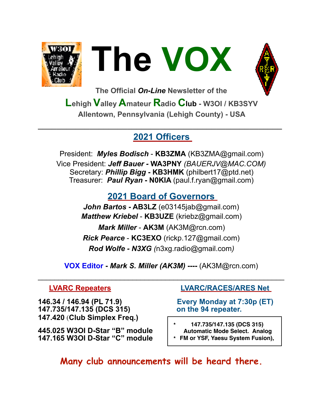





**The Official** *On-Line* **Newsletter of the** 

**Lehigh Valley Amateur R**a**dio Club - W3OI / KB3SYV Allentown, Pennsylvania (Lehigh County) - USA** 

### **2021 Officers**

**\_\_\_\_\_\_\_\_\_\_\_\_\_\_\_\_\_\_\_\_\_\_\_\_\_\_\_\_\_\_\_\_\_\_\_\_\_\_\_\_\_\_\_\_\_\_\_\_\_\_\_\_** 

President: *Myles Bodisch* - **KB3ZMA** [\(KB3ZMA@gmail.com](mailto:KB3ZMA@gmail.com)) Vice President: *Jeff Bauer -* **WA3PNY** *(BAUERJV@MAC.COM)* Secretary: *Phillip Bigg* **- KB3HMK** [\(philbert17@ptd.net](mailto:philbert17@ptd.net)) Treasurer: *Paul Ryan* **- N0KIA** [\(paul.f.ryan@gmail.com](mailto:paul.f.ryan@gmail.com))

### **2021 Board of Governors**

*John Bartos* **- AB3LZ** ([e03145jab@gmail.com\)](mailto:e03145jab@gmail.com) *Matthew Kriebel* - **KB3UZE** (kriebz@gmail.com) *Mark Miller* - **AK3M** ([AK3M@rcn.com\)](mailto:AK3M@rcn.com) *Rick Pearce* - **KC3EXO** ([rickp.127@gmail.com\)](mailto:rickp.127@gmail.com) *Rod Wolfe - N3XG (*[n3xg.radio@gmail.com](mailto:n3xg.radio@gmail.com)*)* 

**VOX Editor -** *Mark S. Miller (AK3M)* **----** (AK3M@rcn.com)

 $\mathcal{L}_\text{max}$  , and the contribution of the contribution of the contribution of the contribution of the contribution of the contribution of the contribution of the contribution of the contribution of the contribution of t

**146.34 / 146.94 (PL 71.9) Every Monday at 7:30p (ET) 147.735/147.135 (DCS 315) on the 94 repeater. 147.420** (**Club Simplex Freq.)** 

**445.025 W3OI D-Star "B" module 147.165 W3OI D-Star "C" module** 

#### **LVARC Repeaters LVARC/RACES/ARES Net**

**\* 147.735/147.135 (DCS 315) Automatic Mode Select. Analog \* FM or YSF, Yaesu System Fusion),**

**Many club announcements will be heard there.**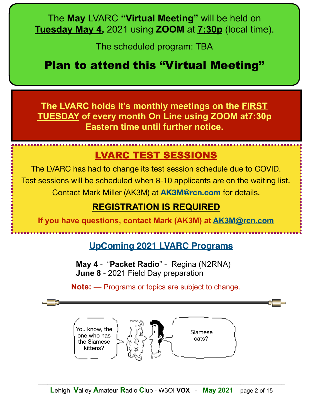The **May** LVARC **"Virtual Meeting"** will be held on **Tuesday May 4,** 2021 using **ZOOM** at **7:30p** (local time).

The scheduled program: TBA

Plan to attend this "Virtual Meeting"

**The LVARC holds it's monthly meetings on the FIRST TUESDAY of every month On Line using ZOOM at7:30p Eastern time until further notice.**

### LVARC TEST SESSIONS

The LVARC has had to change its test session schedule due to COVID. Test sessions will be scheduled when 8-10 applicants are on the waiting list. Contact Mark Miller (AK3M) at **[AK3M@rcn.com](mailto:AK3M@rcn.com)** for details.

### **REGISTRATION IS REQUIRED**

**If you have questions, contact Mark (AK3M) at [AK3M@rcn.com](mailto:AK3M@rcn.com)**

### **UpComing 2021 LVARC Programs**

 **May 4** - "**Packet Radio**" - Regina (N2RNA) **June 8** - 2021 Field Day preparation

**Note:** — Programs or topics are subject to change.

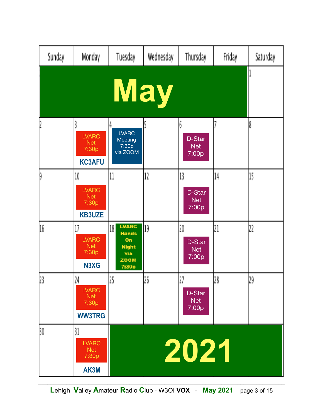| Sunday | Monday                                                     | Tuesday                                                                          | Wednesday | Thursday                                                  | Friday | Saturday |
|--------|------------------------------------------------------------|----------------------------------------------------------------------------------|-----------|-----------------------------------------------------------|--------|----------|
|        |                                                            | <b>May</b>                                                                       |           |                                                           |        | 1        |
|        | <b>LVARC</b><br><b>Net</b><br>7:30p<br><b>KC3AFU</b>       | <b>LVARC</b><br>Meeting<br>7:30p<br>via ZOOM                                     | 5         | 6<br>D-Star<br><b>Net</b><br>7:00p                        | 7      | I8       |
| ġ      | 10<br><b>LVARC</b><br><b>Net</b><br>7:30p<br><b>KB3UZE</b> | 11                                                                               | 12        | 13<br>D-Star<br><b>Net</b><br>7:00p                       | 14     | 15       |
| 16     | 17<br><b>LVARC</b><br><b>Net</b><br>7:30p<br>N3XG          | <b>LVARC</b><br>18<br><b>Hands</b><br>On<br><b>Night</b><br>via<br>ZOOM<br>7:30p | 19        | 20<br>D-Star<br><b>Net</b><br>7:00p                       | 21     | 22       |
| 23     | 24<br><b>LVARC</b><br><b>Net</b><br>7:30p<br><b>WW3TRG</b> | 25                                                                               | 26        | $\overline{\mathbf{27}}$<br>D-Star<br><b>Net</b><br>7:00p | 28     | 29       |
| 30     | 31<br><b>LVARC</b><br><b>Net</b><br>7:30p<br>AK3M          |                                                                                  |           | 2021                                                      |        |          |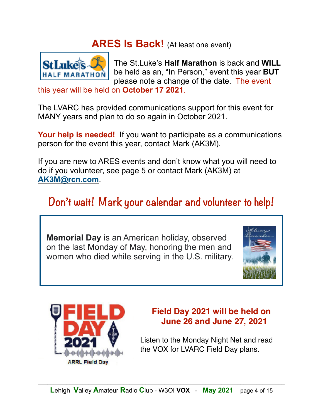### **ARES Is Back!** (At least one event)



**St.Luke's Half Marathon** is back and **WILL EXAMPLE MARATHON** be held as an, "In Person," event this year BUT please note a change of the date. The event

this year will be held on **October 17 2021**.

The LVARC has provided communications support for this event for MANY years and plan to do so again in October 2021.

**Your help is needed!** If you want to participate as a communications person for the event this year, contact Mark (AK3M).

If you are new to ARES events and don't know what you will need to do if you volunteer, see page 5 or contact Mark (AK3M) at **[AK3M@rcn.com](mailto:AK3M@rcn.com)**.

## **Don't wait! Mark your calendar and volunteer to help!**

**Memorial Day** is an American holiday, observed on the last Monday of May, honoring the men and women who died while serving in the U.S. military.





### **Field Day 2021 will be held on June 26 and June 27, 2021**

Listen to the Monday Night Net and read the VOX for LVARC Field Day plans.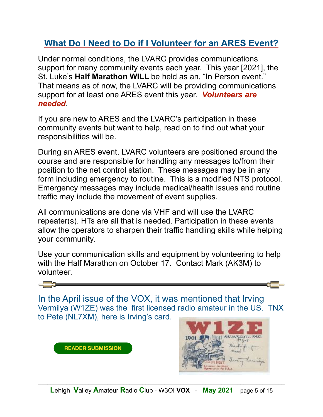### **What Do I Need to Do if I Volunteer for an ARES Event?**

Under normal conditions, the LVARC provides communications support for many community events each year. This year [2021], the St. Luke's **Half Marathon WILL** be held as an, "In Person event." That means as of now, the LVARC will be providing communications support for at least one ARES event this year. *Volunteers are needed*.

If you are new to ARES and the LVARC's participation in these community events but want to help, read on to find out what your responsibilities will be.

During an ARES event, LVARC volunteers are positioned around the course and are responsible for handling any messages to/from their position to the net control station. These messages may be in any form including emergency to routine. This is a modified NTS protocol. Emergency messages may include medical/health issues and routine traffic may include the movement of event supplies.

All communications are done via VHF and will use the LVARC repeater(s). HTs are all that is needed. Participation in these events allow the operators to sharpen their traffic handling skills while helping your community.

Use your communication skills and equipment by volunteering to help with the Half Marathon on October 17. Contact Mark (AK3M) to volunteer.



**READER SUBMISSION**

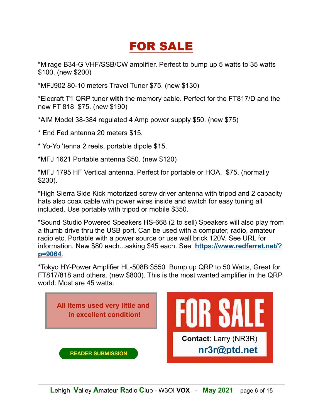# FOR SALE

\*Mirage B34-G VHF/SSB/CW amplifier. Perfect to bump up 5 watts to 35 watts \$100. (new \$200)

\*MFJ902 80-10 meters Travel Tuner \$75. (new \$130)

\*Elecraft T1 QRP tuner **with** the memory cable. Perfect for the FT817/D and the new FT 818 \$75. (new \$190)

\*AIM Model 38-384 regulated 4 Amp power supply \$50. (new \$75)

\* End Fed antenna 20 meters \$15.

\* Yo-Yo 'tenna 2 reels, portable dipole \$15.

\*MFJ 1621 Portable antenna \$50. (new \$120)

\*MFJ 1795 HF Vertical antenna. Perfect for portable or HOA. \$75. (normally \$230).

\*High Sierra Side Kick motorized screw driver antenna with tripod and 2 capacity hats also coax cable with power wires inside and switch for easy tuning all included. Use portable with tripod or mobile \$350.

\*Sound Studio Powered Speakers HS-668 (2 to sell) Speakers will also play from a thumb drive thru the USB port. Can be used with a computer, radio, amateur radio etc. Portable with a power source or use wall brick 120V. See URL for information. New \$80 each...asking \$45 each. See **[https://www.redferret.net/?](https://www.redferret.net/?p=9064) [p=9064](https://www.redferret.net/?p=9064)**.

\*Tokyo HY-Power Amplifier HL-508B \$550 Bump up QRP to 50 Watts, Great for FT817/818 and others. (new \$800). This is the most wanted amplifier in the QRP world. Most are 45 watts.

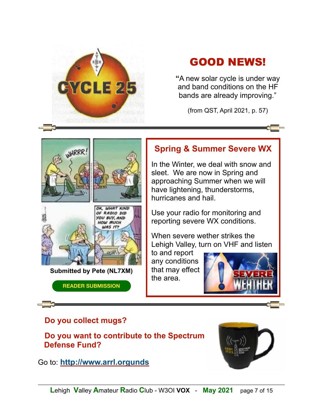

## GOOD NEWS!

**THE 25** "A new solar cycle is under way<br>and band conditions on the HF and band conditions on the HF bands are already improving."

(from QST, April 2021, p. 57)





**Submitted by Pete (NL7XM)**

**READER SUBMISSION**

#### **Spring & Summer Severe WX**

In the Winter, we deal with snow and sleet. We are now in Spring and approaching Summer when we will have lightening, thunderstorms, hurricanes and hail.

Use your radio for monitoring and reporting severe WX conditions.

When severe wether strikes the Lehigh Valley, turn on VHF and listen

to and report any conditions that may effect the area.



#### **Do you collect mugs?**

 **Do you want to contribute to the Spectrum Defense Fund?** 

Go to: **http://www.arrl.orgunds**

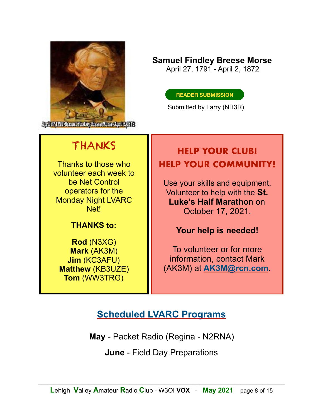

After 27.1790 Samuel Findley Bresse Morses April 20.6733

### **Samuel Findley Breese Morse**

April 27, 1791 - April 2, 1872

#### **READER SUBMISSION**

Submitted by Larry (NR3R)

# THANKS

Thanks to those who volunteer each week to be Net Control operators for the Monday Night LVARC Net!

### **THANKS to:**

**Rod** (N3XG) **Mark** (AK3M) **Jim** (KC3AFU) **Matthew** (KB3UZE) **Tom** (WW3TRG)

### **HELP YOUR CLUB! HELP YOUR COMMUNITY!**

Use your skills and equipment. Volunteer to help with the **St. Luke's Half Maratho**n on October 17, 2021.

### **Your help is needed!**

To volunteer or for more information, contact Mark (AK3M) at **[AK3M@rcn.com](mailto:AK3M@rcn.com)**.

### **Scheduled LVARC Programs**

**May** - Packet Radio (Regina - N2RNA)

**June** - Field Day Preparations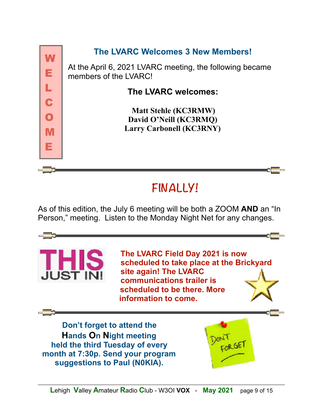

# **FINALLY!**

As of this edition, the July 6 meeting will be both a ZOOM **AND** an "In Person," meeting. Listen to the Monday Night Net for any changes.

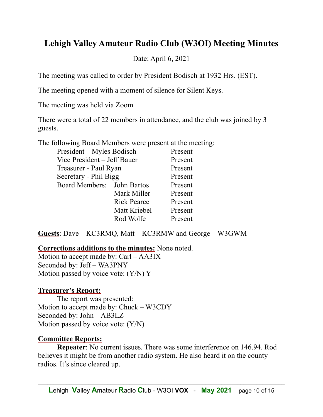### **Lehigh Valley Amateur Radio Club (W3OI) Meeting Minutes**

Date: April 6, 2021

The meeting was called to order by President Bodisch at 1932 Hrs. (EST).

The meeting opened with a moment of silence for Silent Keys.

The meeting was held via Zoom

There were a total of 22 members in attendance, and the club was joined by 3 guests.

The following Board Members were present at the meeting:

| President – Myles Bodisch   |                            | Present |
|-----------------------------|----------------------------|---------|
| Vice President - Jeff Bauer |                            | Present |
| Treasurer - Paul Ryan       |                            | Present |
| Secretary - Phil Bigg       |                            | Present |
|                             | Board Members: John Bartos | Present |
|                             | Mark Miller                | Present |
|                             | <b>Rick Pearce</b>         | Present |
|                             | Matt Kriebel               | Present |
|                             | Rod Wolfe                  | Present |
|                             |                            |         |

**Guests**: Dave – KC3RMQ, Matt – KC3RMW and George – W3GWM

**Corrections additions to the minutes:** None noted.

Motion to accept made by: Carl – AA3IX Seconded by: Jeff – WA3PNY Motion passed by voice vote: (Y/N) Y

#### **Treasurer's Report:**

 The report was presented: Motion to accept made by: Chuck – W3CDY Seconded by: John – AB3LZ Motion passed by voice vote: (Y/N)

#### **Committee Reports:**

**Repeater**: No current issues. There was some interference on 146.94. Rod believes it might be from another radio system. He also heard it on the county radios. It's since cleared up.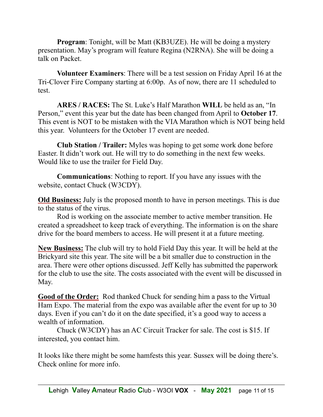**Program**: Tonight, will be Matt (KB3UZE). He will be doing a mystery presentation. May's program will feature Regina (N2RNA). She will be doing a talk on Packet.

**Volunteer Examiners**: There will be a test session on Friday April 16 at the Tri-Clover Fire Company starting at 6:00p. As of now, there are 11 scheduled to test.

**ARES / RACES:** The St. Luke's Half Marathon **WILL** be held as an, "In Person," event this year but the date has been changed from April to **October 17**. This event is NOT to be mistaken with the VIA Marathon which is NOT being held this year. Volunteers for the October 17 event are needed.

**Club Station / Trailer:** Myles was hoping to get some work done before Easter. It didn't work out. He will try to do something in the next few weeks. Would like to use the trailer for Field Day.

**Communications**: Nothing to report. If you have any issues with the website, contact Chuck (W3CDY).

**Old Business:** July is the proposed month to have in person meetings. This is due to the status of the virus.

 Rod is working on the associate member to active member transition. He created a spreadsheet to keep track of everything. The information is on the share drive for the board members to access. He will present it at a future meeting.

**New Business:** The club will try to hold Field Day this year. It will be held at the Brickyard site this year. The site will be a bit smaller due to construction in the area. There were other options discussed. Jeff Kelly has submitted the paperwork for the club to use the site. The costs associated with the event will be discussed in May.

**Good of the Order:** Rod thanked Chuck for sending him a pass to the Virtual Ham Expo. The material from the expo was available after the event for up to 30 days. Even if you can't do it on the date specified, it's a good way to access a wealth of information.

 Chuck (W3CDY) has an AC Circuit Tracker for sale. The cost is \$15. If interested, you contact him.

It looks like there might be some hamfests this year. Sussex will be doing there's. Check online for more info.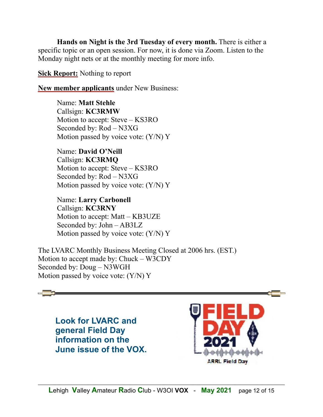**Hands on Night is the 3rd Tuesday of every month.** There is either a specific topic or an open session. For now, it is done via Zoom. Listen to the Monday night nets or at the monthly meeting for more info.

**Sick Report:** Nothing to report

**New member applicants** under New Business:

 Name: **Matt Stehle** Callsign: **KC3RMW** Motion to accept: Steve – KS3RO Seconded by: Rod – N3XG Motion passed by voice vote: (Y/N) Y

 Name: **David O'Neill** Callsign: **KC3RMQ** Motion to accept: Steve – KS3RO Seconded by: Rod – N3XG Motion passed by voice vote:  $(Y/N)$  Y

 Name: **Larry Carbonell** Callsign: **KC3RNY** Motion to accept: Matt – KB3UZE Seconded by: John – AB3LZ Motion passed by voice vote: (Y/N) Y

The LVARC Monthly Business Meeting Closed at 2006 hrs. (EST.) Motion to accept made by: Chuck – W3CDY Seconded by: Doug – N3WGH Motion passed by voice vote: (Y/N) Y

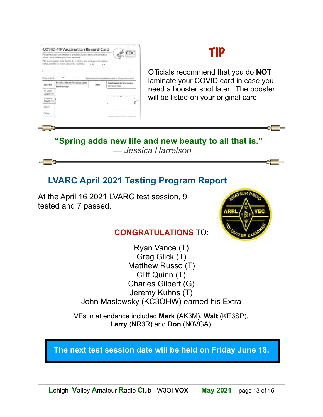|                                    | Pingerikmothhamoed und, which includes medical information<br>aloud the navisary gro have an event                      |             | CDC                                                         |
|------------------------------------|-------------------------------------------------------------------------------------------------------------------------|-------------|-------------------------------------------------------------|
|                                    | Par lavos guarde esta tarjese de repistro, que incluye información<br>rabiliza suber las naceras que la voibbila.<br>Ł. |             |                                                             |
|                                    | r-mil                                                                                                                   |             |                                                             |
|                                    |                                                                                                                         |             |                                                             |
| Cota-of Birth                      |                                                                                                                         |             | Patinni ruminer/modesi.manifar.htmass/marshed/              |
| Ascrima                            | Product Name/Manufacturer<br>Lot Rismann                                                                                | <b>SILV</b> | <b>MAGERIA SPA BY INFORMATION</b><br><b>PAYE EIGHT SURE</b> |
| 1 <sup>2</sup> Depart-<br>COVID-19 |                                                                                                                         |             |                                                             |
|                                    |                                                                                                                         |             |                                                             |
| 2 <sup>mi</sup> Diece<br>CDVID-19  |                                                                                                                         |             |                                                             |
| Other                              |                                                                                                                         |             |                                                             |

# TIP

Officials recommend that you do **NOT** laminate your COVID card in case you need a booster shot later. The booster will be listed on your original card.

**"Spring adds new life and new beauty to all that is."**  *— Jessica Harrelson*

### **LVARC April 2021 Testing Program Report**

At the April 16 2021 LVARC test session, 9 tested and 7 passed.



### **CONGRATULATIONS** TO:

Ryan Vance (T) Greg Glick (T) Matthew Russo (T) Cliff Quinn (T) Charles Gilbert (G) Jeremy Kuhns (T) John Maslowsky (KC3QHW) earned his Extra

VEs in attendance included **Mark** (AK3M), **Walt** (KE3SP), **Larry** (NR3R) and **Don** (N0VGA).

**The next test session date will be held on Friday June 18.**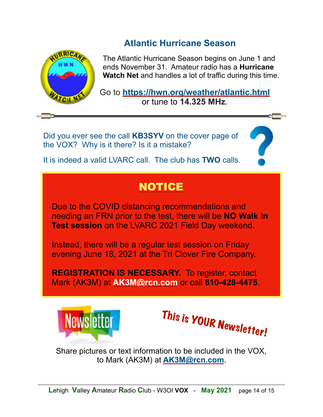### **Atlantic Hurricane Season**



The Atlantic Hurricane Season begins on June 1 and ends November 31. Amateur radio has a **Hurricane Watch Net** and handles a lot of traffic during this time.

Go to **<https://hwn.org/weather/atlantic.html>**  or tune to **14.325 MHz**.

Did you ever see the call **KB3SYV** on the cover page of the VOX? Why is it there? Is it a mistake?

It is indeed a valid LVARC call. The club has **TWO** calls.

# **NOTICE**

Due to the COVID distancing recommendations and needing an FRN prior to the test, there will be **NO Walk In Test session** on the LVARC 2021 Field Day weekend.

Instead, there will be a regular test session on Friday evening June 18, 2021 at the Tri Clover Fire Company.

**REGISTRATION IS NECESSARY.** To register, contact Mark (AK3M) at **[AK3M@rcn.com](mailto:AK3M@rcn.com)** or call **610-428-4475**.



This is YOUR Newsletter!

Share pictures or text information to be included in the VOX, to Mark (AK3M) at **[AK3M@rcn.com](mailto:AK3M@rcn.com)**.